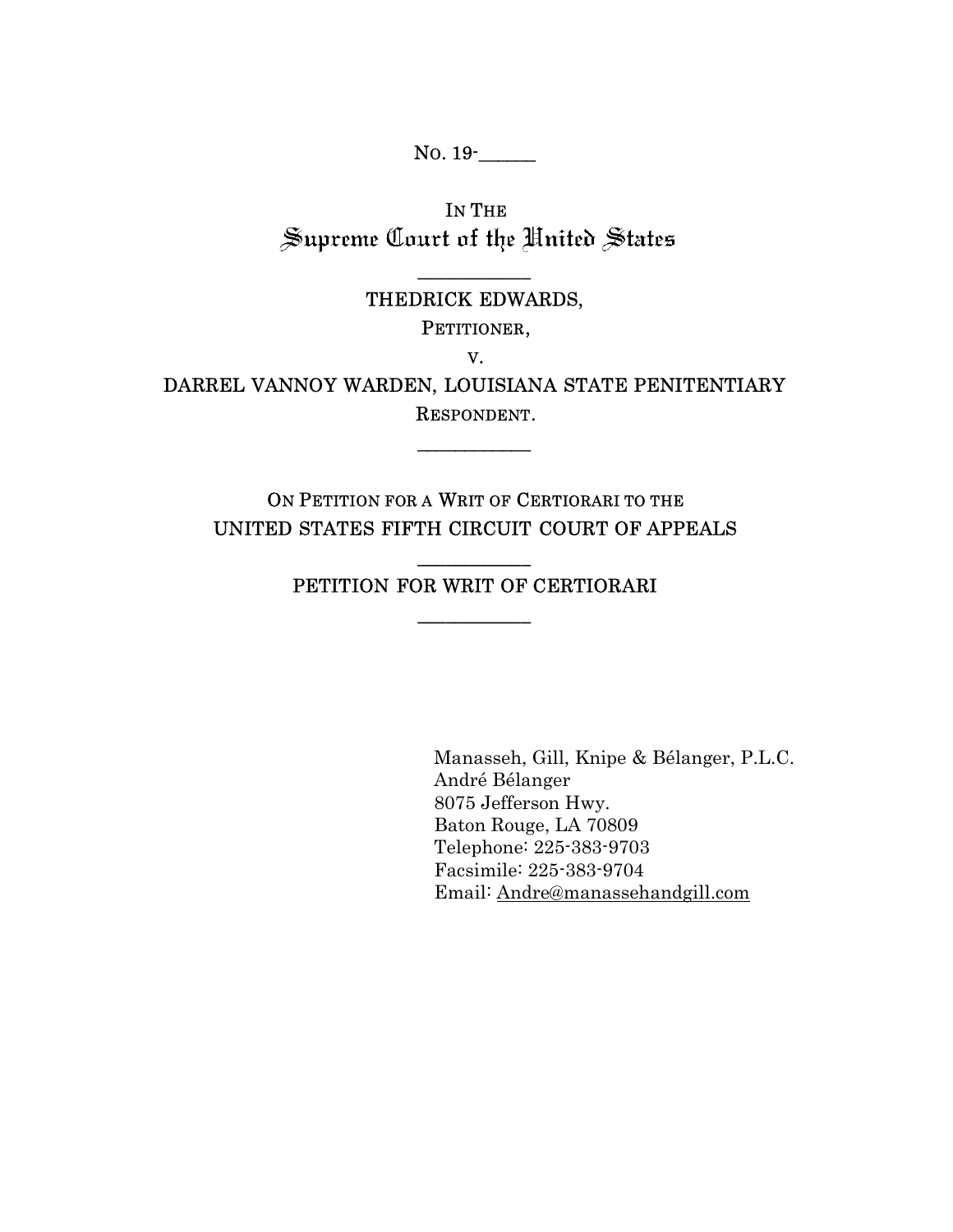No. 19<sup>-</sup>

IN THE Supreme Court of the United States

## $\overline{\phantom{a}}$ THEDRICK EDWARDS,

PETITIONER,

V.

DARREL VANNOY WARDEN, LOUISIANA STATE PENITENTIARY RESPONDENT.

 $\overline{\phantom{a}}$ 

ON PETITION FOR A WRIT OF CERTIORARI TO THE UNITED STATES FIFTH CIRCUIT COURT OF APPEALS

# \_\_\_\_\_\_\_\_\_\_\_\_ PETITION FOR WRIT OF CERTIORARI  $\overline{\phantom{a}}$

Manasseh, Gill, Knipe & Bélanger, P.L.C. André Bélanger 8075 Jefferson Hwy. Baton Rouge, LA 70809 Telephone: 225-383-9703 Facsimile: 225-383-9704 Email: Andre@manassehandgill.com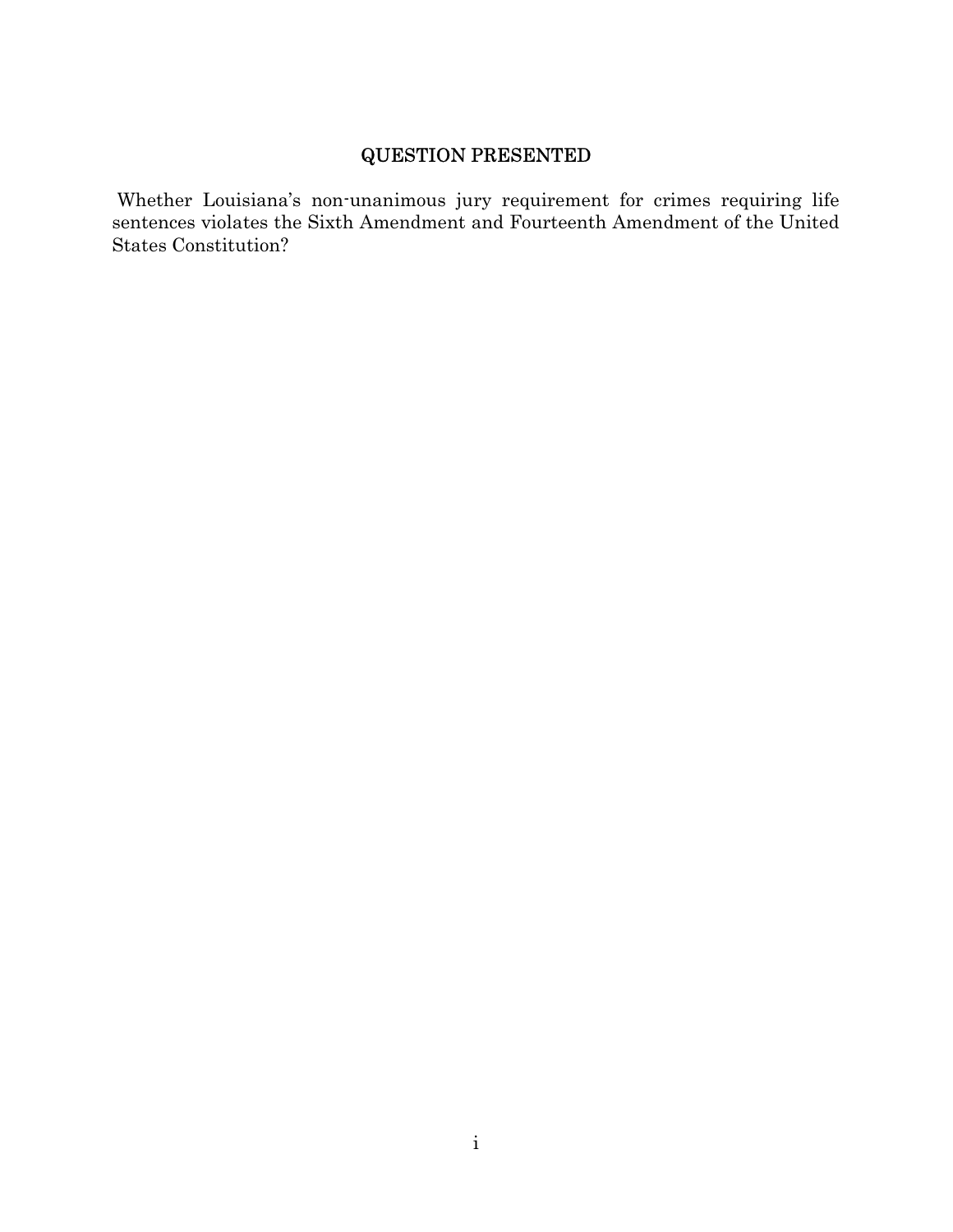# QUESTION PRESENTED

 Whether Louisiana's non-unanimous jury requirement for crimes requiring life sentences violates the Sixth Amendment and Fourteenth Amendment of the United States Constitution?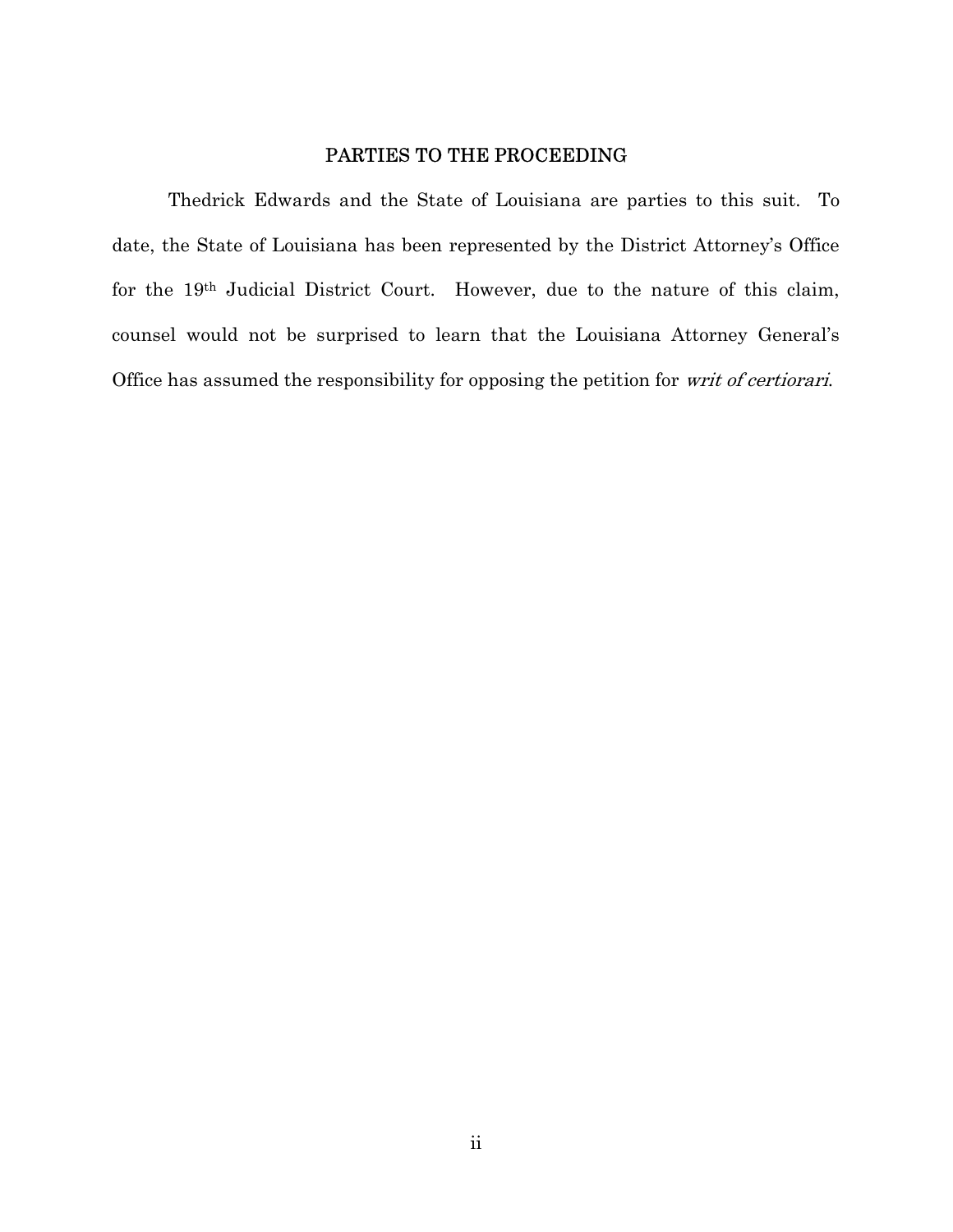## PARTIES TO THE PROCEEDING

Thedrick Edwards and the State of Louisiana are parties to this suit. To date, the State of Louisiana has been represented by the District Attorney's Office for the 19th Judicial District Court. However, due to the nature of this claim, counsel would not be surprised to learn that the Louisiana Attorney General's Office has assumed the responsibility for opposing the petition for writ of certiorari.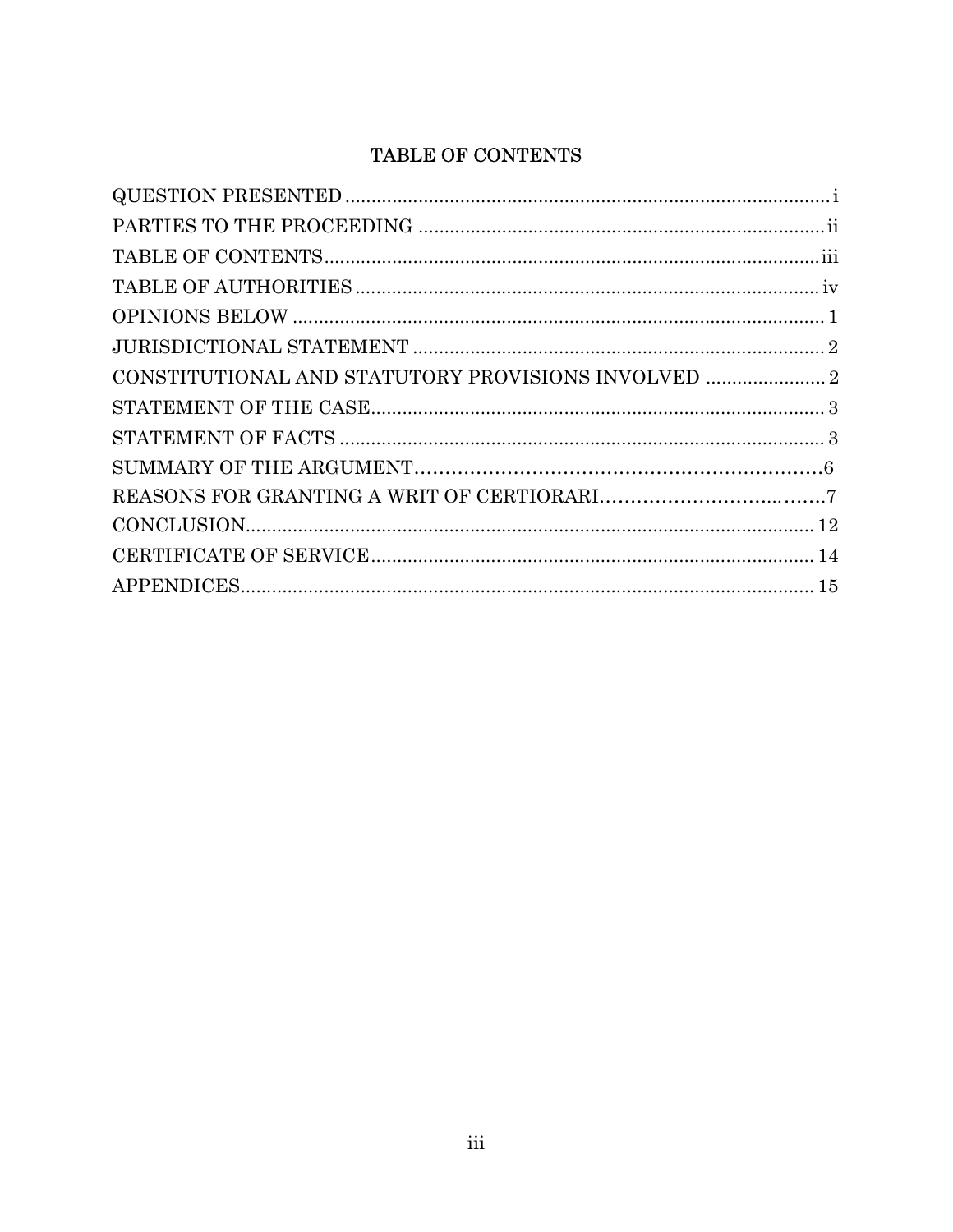# TABLE OF CONTENTS

| $\begin{minipage}{.4\linewidth} \textbf{STATEMENT OF FACTS} \end{minipage} \begin{minipage}{.4\linewidth} \textbf{0} \end{minipage} \begin{minipage}{.4\linewidth} \textbf{0} \end{minipage} \begin{minipage}{.4\linewidth} \textbf{0} \end{minipage} \begin{minipage}{.4\linewidth} \textbf{0} \end{minipage} \begin{minipage}{.4\linewidth} \textbf{0} \end{minipage} \begin{minipage}{.4\linewidth} \textbf{0} \end{minipage} \begin{minipage}{.4\linewidth} \textbf{0} \end{minipage} \begin{minipage}{.4\linewidth} \textbf{$ |  |
|------------------------------------------------------------------------------------------------------------------------------------------------------------------------------------------------------------------------------------------------------------------------------------------------------------------------------------------------------------------------------------------------------------------------------------------------------------------------------------------------------------------------------------|--|
|                                                                                                                                                                                                                                                                                                                                                                                                                                                                                                                                    |  |
|                                                                                                                                                                                                                                                                                                                                                                                                                                                                                                                                    |  |
|                                                                                                                                                                                                                                                                                                                                                                                                                                                                                                                                    |  |
|                                                                                                                                                                                                                                                                                                                                                                                                                                                                                                                                    |  |
|                                                                                                                                                                                                                                                                                                                                                                                                                                                                                                                                    |  |
|                                                                                                                                                                                                                                                                                                                                                                                                                                                                                                                                    |  |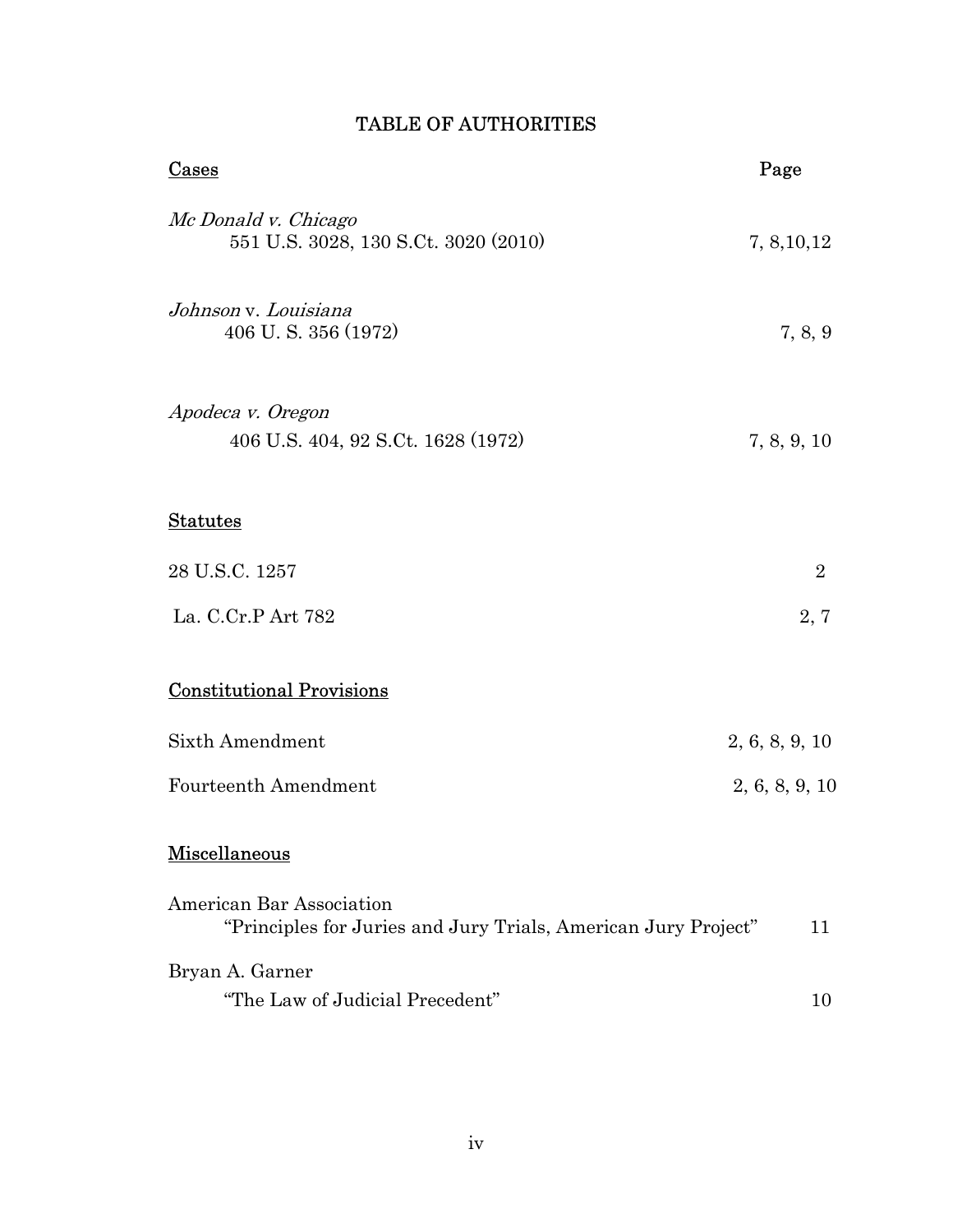| Cases                                                                                      | Page           |
|--------------------------------------------------------------------------------------------|----------------|
| Mc Donald v. Chicago<br>551 U.S. 3028, 130 S.Ct. 3020 (2010)                               | 7, 8, 10, 12   |
| Johnson v. Louisiana<br>406 U.S. 356 (1972)                                                | 7, 8, 9        |
| Apodeca v. Oregon<br>406 U.S. 404, 92 S.Ct. 1628 (1972)                                    | 7, 8, 9, 10    |
| <b>Statutes</b>                                                                            |                |
| 28 U.S.C. 1257                                                                             | $\overline{2}$ |
| La. C.Cr.P Art 782                                                                         | 2, 7           |
| <b>Constitutional Provisions</b>                                                           |                |
| <b>Sixth Amendment</b>                                                                     | 2, 6, 8, 9, 10 |
| <b>Fourteenth Amendment</b>                                                                | 2, 6, 8, 9, 10 |
| Miscellaneous                                                                              |                |
| American Bar Association<br>"Principles for Juries and Jury Trials, American Jury Project" | 11             |
| Bryan A. Garner                                                                            |                |
| "The Law of Judicial Precedent"                                                            | 10             |

# TABLE OF AUTHORITIES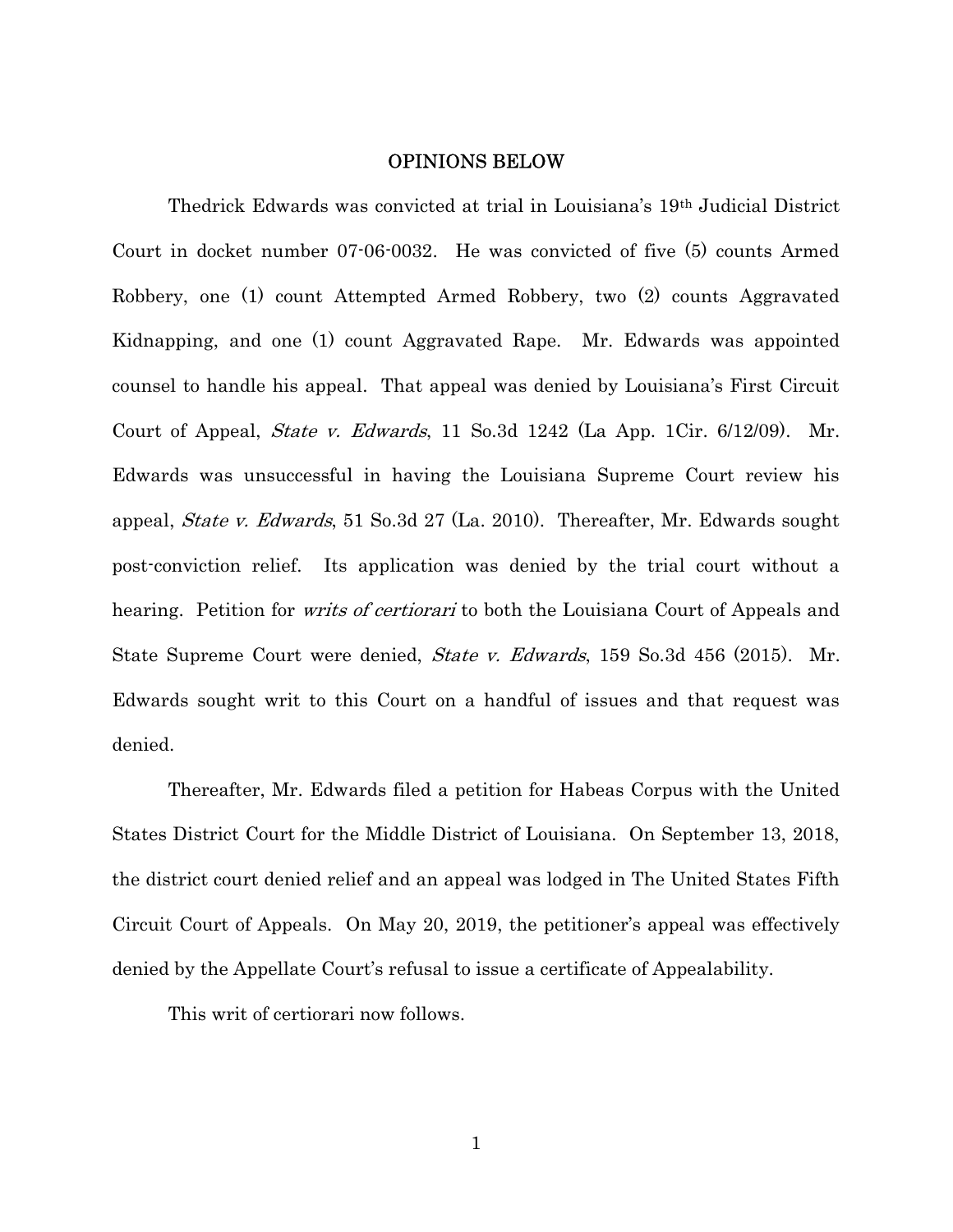### OPINIONS BELOW

Thedrick Edwards was convicted at trial in Louisiana's 19th Judicial District Court in docket number 07-06-0032. He was convicted of five (5) counts Armed Robbery, one (1) count Attempted Armed Robbery, two (2) counts Aggravated Kidnapping, and one (1) count Aggravated Rape. Mr. Edwards was appointed counsel to handle his appeal. That appeal was denied by Louisiana's First Circuit Court of Appeal, State v. Edwards, 11 So.3d 1242 (La App. 1Cir. 6/12/09). Mr. Edwards was unsuccessful in having the Louisiana Supreme Court review his appeal, State v. Edwards, 51 So.3d 27 (La. 2010). Thereafter, Mr. Edwards sought post-conviction relief. Its application was denied by the trial court without a hearing. Petition for *writs of certiorari* to both the Louisiana Court of Appeals and State Supreme Court were denied, State v. Edwards, 159 So.3d 456 (2015). Mr. Edwards sought writ to this Court on a handful of issues and that request was denied.

Thereafter, Mr. Edwards filed a petition for Habeas Corpus with the United States District Court for the Middle District of Louisiana. On September 13, 2018, the district court denied relief and an appeal was lodged in The United States Fifth Circuit Court of Appeals. On May 20, 2019, the petitioner's appeal was effectively denied by the Appellate Court's refusal to issue a certificate of Appealability.

This writ of certiorari now follows.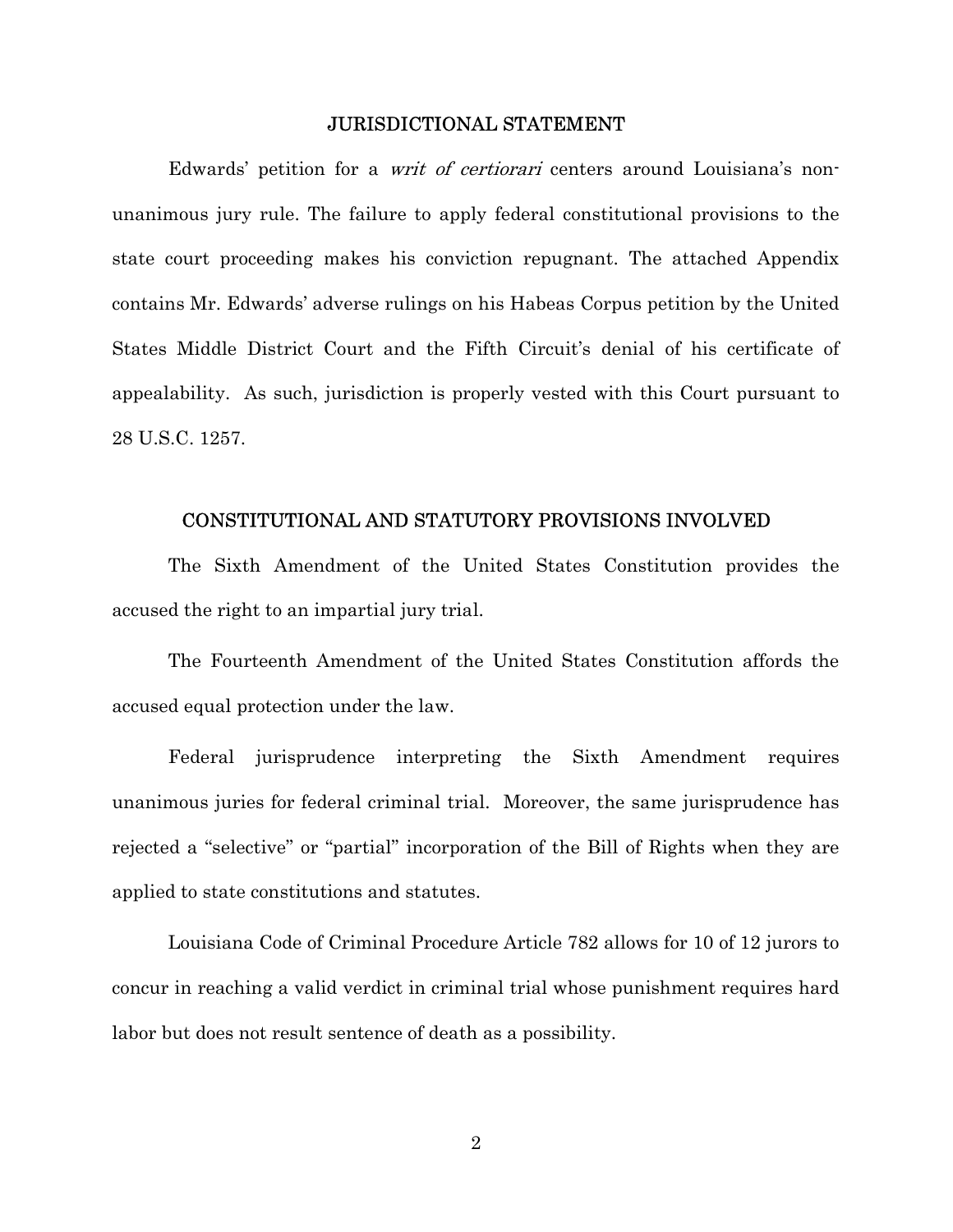#### JURISDICTIONAL STATEMENT

Edwards' petition for a *writ of certiorari* centers around Louisiana's nonunanimous jury rule. The failure to apply federal constitutional provisions to the state court proceeding makes his conviction repugnant. The attached Appendix contains Mr. Edwards' adverse rulings on his Habeas Corpus petition by the United States Middle District Court and the Fifth Circuit's denial of his certificate of appealability. As such, jurisdiction is properly vested with this Court pursuant to 28 U.S.C. 1257.

### CONSTITUTIONAL AND STATUTORY PROVISIONS INVOLVED

The Sixth Amendment of the United States Constitution provides the accused the right to an impartial jury trial.

The Fourteenth Amendment of the United States Constitution affords the accused equal protection under the law.

Federal jurisprudence interpreting the Sixth Amendment requires unanimous juries for federal criminal trial. Moreover, the same jurisprudence has rejected a "selective" or "partial" incorporation of the Bill of Rights when they are applied to state constitutions and statutes.

Louisiana Code of Criminal Procedure Article 782 allows for 10 of 12 jurors to concur in reaching a valid verdict in criminal trial whose punishment requires hard labor but does not result sentence of death as a possibility.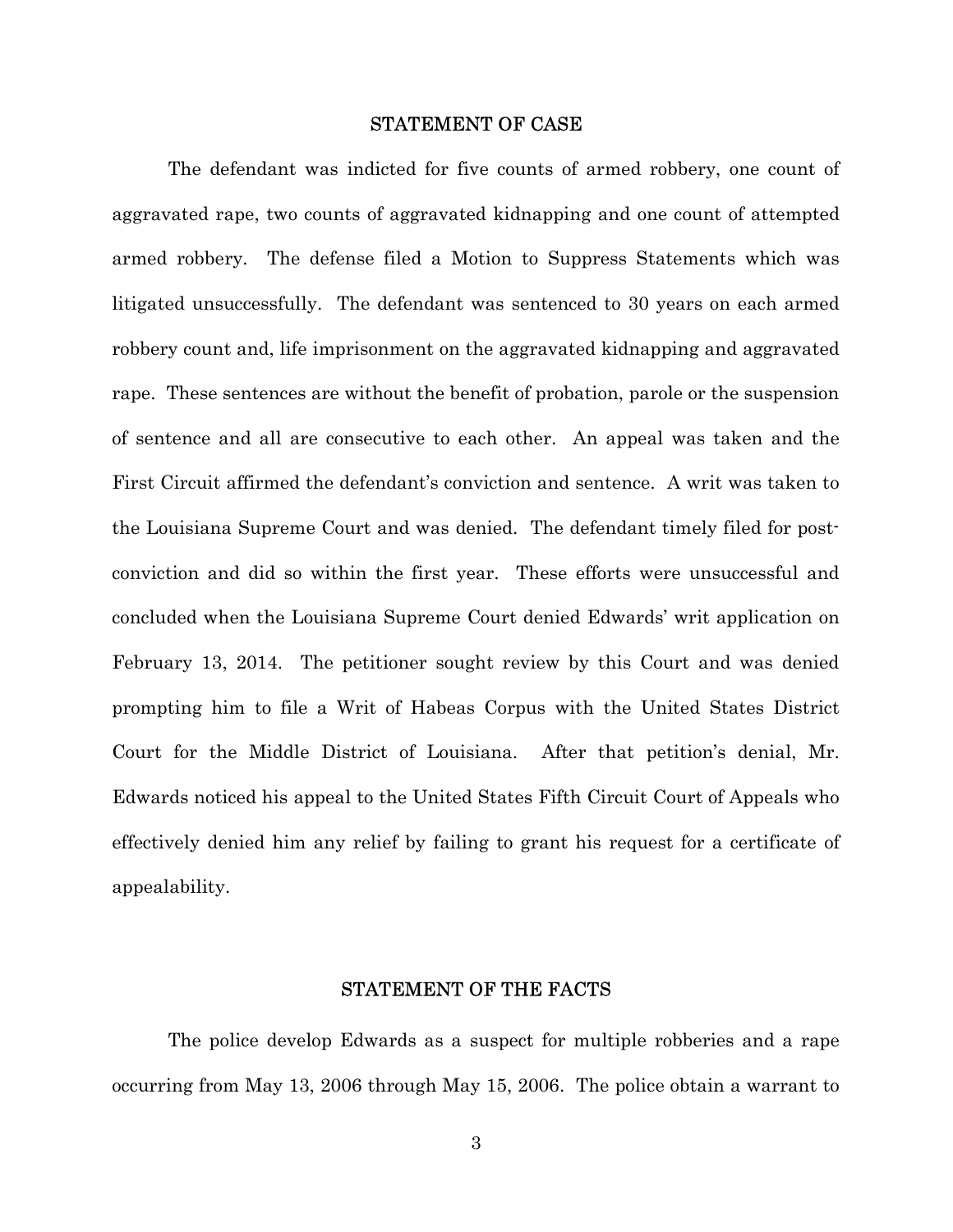#### STATEMENT OF CASE

The defendant was indicted for five counts of armed robbery, one count of aggravated rape, two counts of aggravated kidnapping and one count of attempted armed robbery. The defense filed a Motion to Suppress Statements which was litigated unsuccessfully. The defendant was sentenced to 30 years on each armed robbery count and, life imprisonment on the aggravated kidnapping and aggravated rape. These sentences are without the benefit of probation, parole or the suspension of sentence and all are consecutive to each other. An appeal was taken and the First Circuit affirmed the defendant's conviction and sentence. A writ was taken to the Louisiana Supreme Court and was denied. The defendant timely filed for postconviction and did so within the first year. These efforts were unsuccessful and concluded when the Louisiana Supreme Court denied Edwards' writ application on February 13, 2014. The petitioner sought review by this Court and was denied prompting him to file a Writ of Habeas Corpus with the United States District Court for the Middle District of Louisiana. After that petition's denial, Mr. Edwards noticed his appeal to the United States Fifth Circuit Court of Appeals who effectively denied him any relief by failing to grant his request for a certificate of appealability.

### STATEMENT OF THE FACTS

The police develop Edwards as a suspect for multiple robberies and a rape occurring from May 13, 2006 through May 15, 2006. The police obtain a warrant to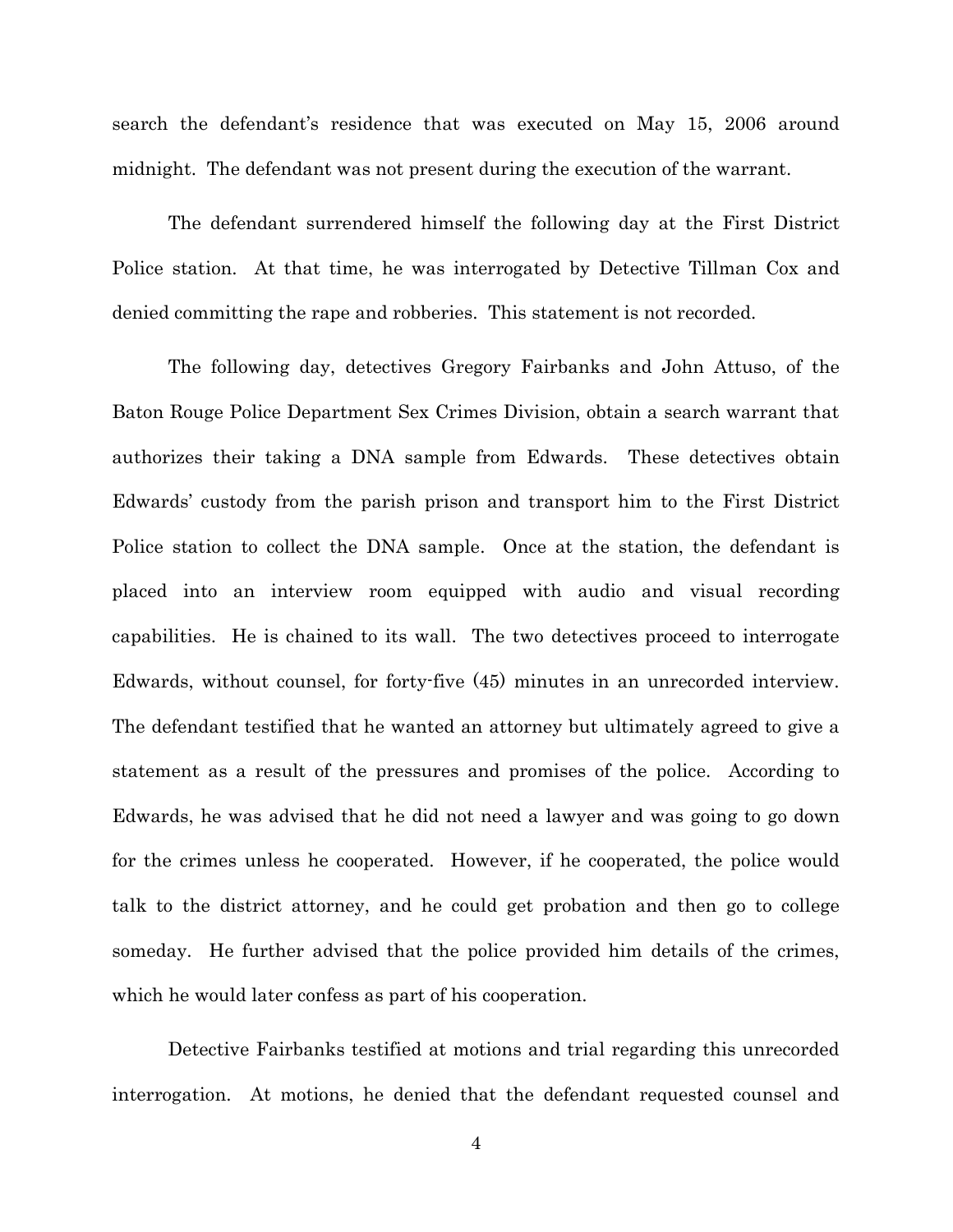search the defendant's residence that was executed on May 15, 2006 around midnight. The defendant was not present during the execution of the warrant.

The defendant surrendered himself the following day at the First District Police station. At that time, he was interrogated by Detective Tillman Cox and denied committing the rape and robberies. This statement is not recorded.

The following day, detectives Gregory Fairbanks and John Attuso, of the Baton Rouge Police Department Sex Crimes Division, obtain a search warrant that authorizes their taking a DNA sample from Edwards. These detectives obtain Edwards' custody from the parish prison and transport him to the First District Police station to collect the DNA sample. Once at the station, the defendant is placed into an interview room equipped with audio and visual recording capabilities. He is chained to its wall. The two detectives proceed to interrogate Edwards, without counsel, for forty-five (45) minutes in an unrecorded interview. The defendant testified that he wanted an attorney but ultimately agreed to give a statement as a result of the pressures and promises of the police. According to Edwards, he was advised that he did not need a lawyer and was going to go down for the crimes unless he cooperated. However, if he cooperated, the police would talk to the district attorney, and he could get probation and then go to college someday. He further advised that the police provided him details of the crimes, which he would later confess as part of his cooperation.

Detective Fairbanks testified at motions and trial regarding this unrecorded interrogation. At motions, he denied that the defendant requested counsel and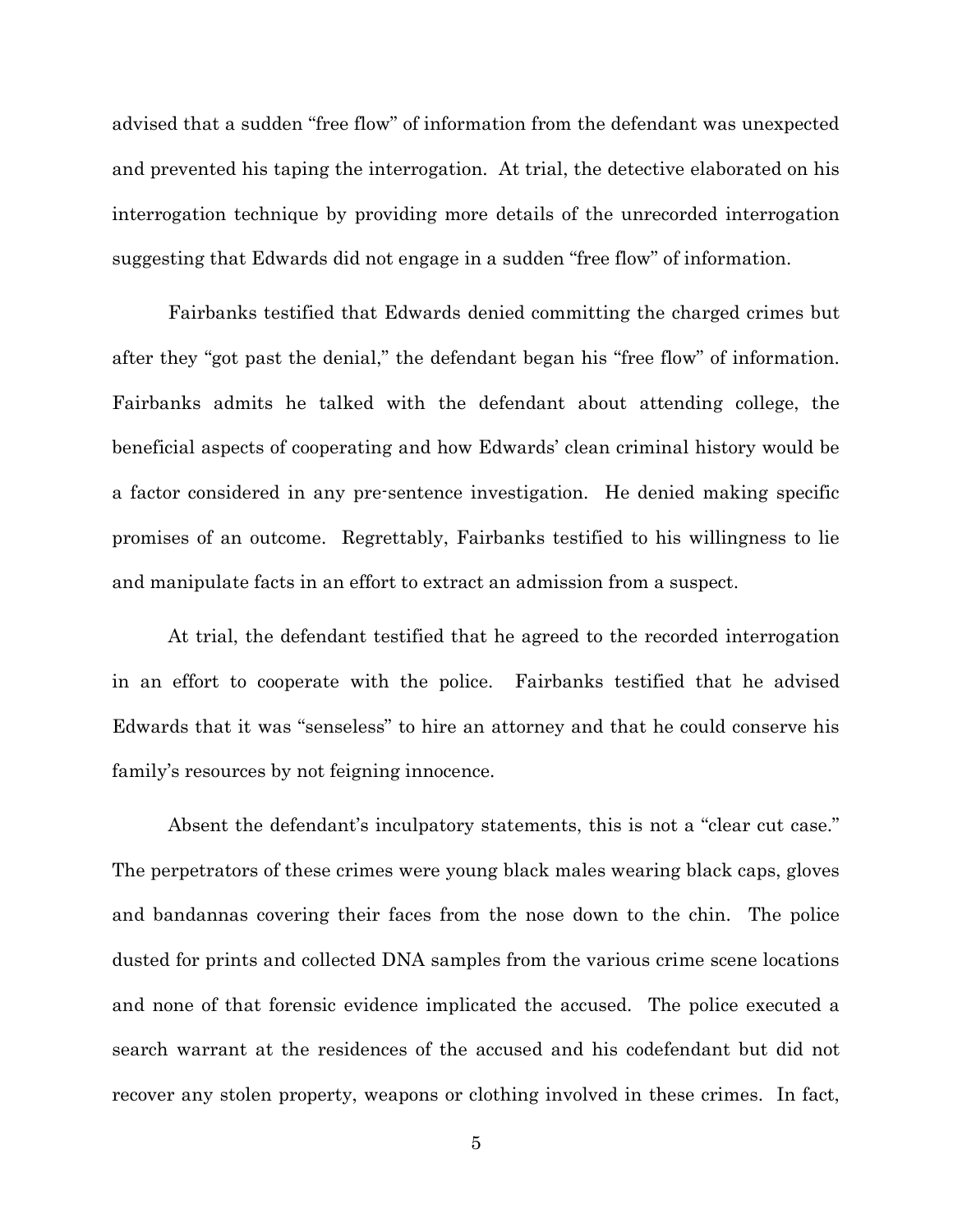advised that a sudden "free flow" of information from the defendant was unexpected and prevented his taping the interrogation. At trial, the detective elaborated on his interrogation technique by providing more details of the unrecorded interrogation suggesting that Edwards did not engage in a sudden "free flow" of information.

Fairbanks testified that Edwards denied committing the charged crimes but after they "got past the denial," the defendant began his "free flow" of information. Fairbanks admits he talked with the defendant about attending college, the beneficial aspects of cooperating and how Edwards' clean criminal history would be a factor considered in any pre-sentence investigation. He denied making specific promises of an outcome. Regrettably, Fairbanks testified to his willingness to lie and manipulate facts in an effort to extract an admission from a suspect.

At trial, the defendant testified that he agreed to the recorded interrogation in an effort to cooperate with the police. Fairbanks testified that he advised Edwards that it was "senseless" to hire an attorney and that he could conserve his family's resources by not feigning innocence.

Absent the defendant's inculpatory statements, this is not a "clear cut case." The perpetrators of these crimes were young black males wearing black caps, gloves and bandannas covering their faces from the nose down to the chin. The police dusted for prints and collected DNA samples from the various crime scene locations and none of that forensic evidence implicated the accused. The police executed a search warrant at the residences of the accused and his codefendant but did not recover any stolen property, weapons or clothing involved in these crimes. In fact,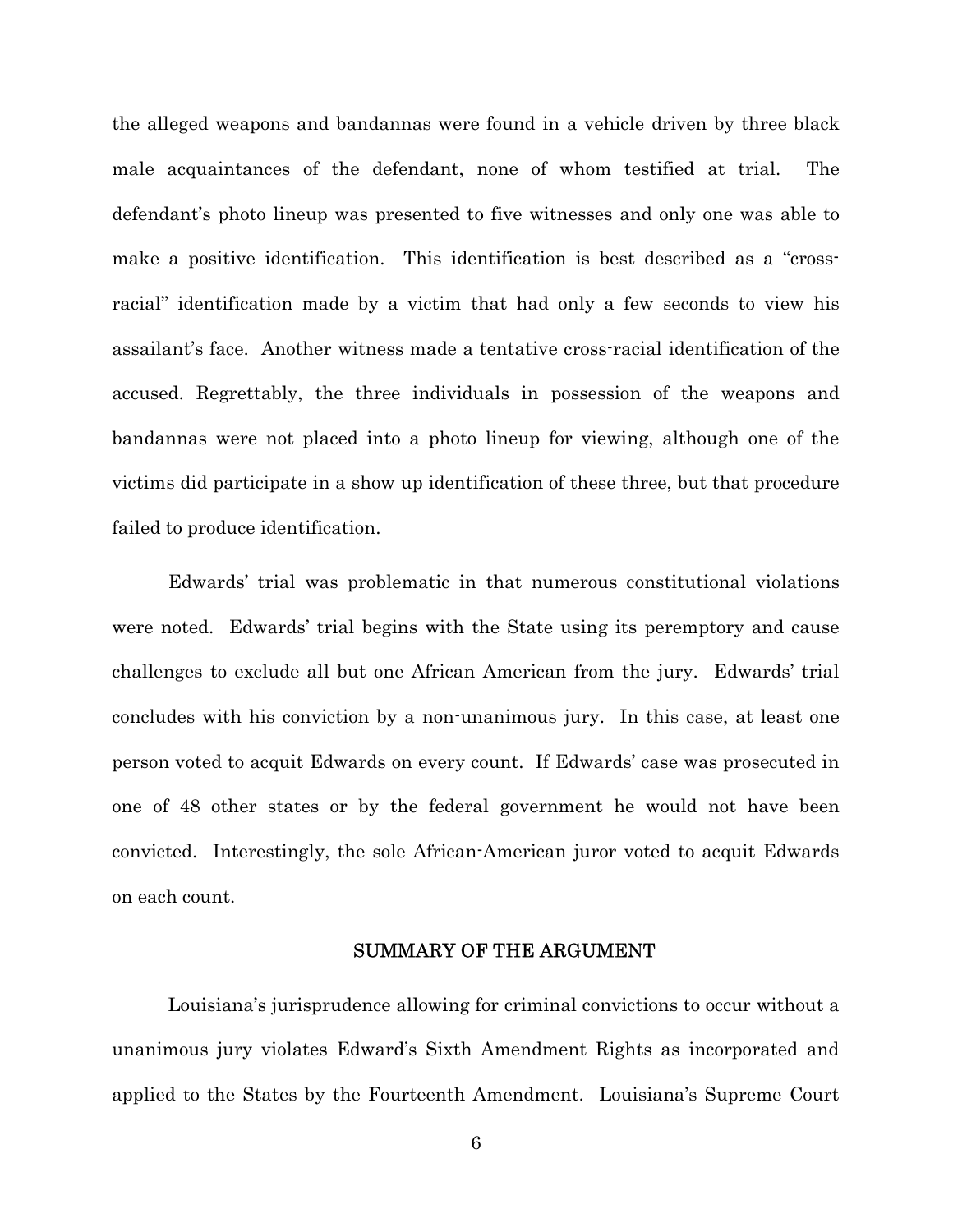the alleged weapons and bandannas were found in a vehicle driven by three black male acquaintances of the defendant, none of whom testified at trial. The defendant's photo lineup was presented to five witnesses and only one was able to make a positive identification. This identification is best described as a "crossracial" identification made by a victim that had only a few seconds to view his assailant's face. Another witness made a tentative cross-racial identification of the accused. Regrettably, the three individuals in possession of the weapons and bandannas were not placed into a photo lineup for viewing, although one of the victims did participate in a show up identification of these three, but that procedure failed to produce identification.

Edwards' trial was problematic in that numerous constitutional violations were noted. Edwards' trial begins with the State using its peremptory and cause challenges to exclude all but one African American from the jury. Edwards' trial concludes with his conviction by a non-unanimous jury. In this case, at least one person voted to acquit Edwards on every count. If Edwards' case was prosecuted in one of 48 other states or by the federal government he would not have been convicted. Interestingly, the sole African-American juror voted to acquit Edwards on each count.

### SUMMARY OF THE ARGUMENT

Louisiana's jurisprudence allowing for criminal convictions to occur without a unanimous jury violates Edward's Sixth Amendment Rights as incorporated and applied to the States by the Fourteenth Amendment. Louisiana's Supreme Court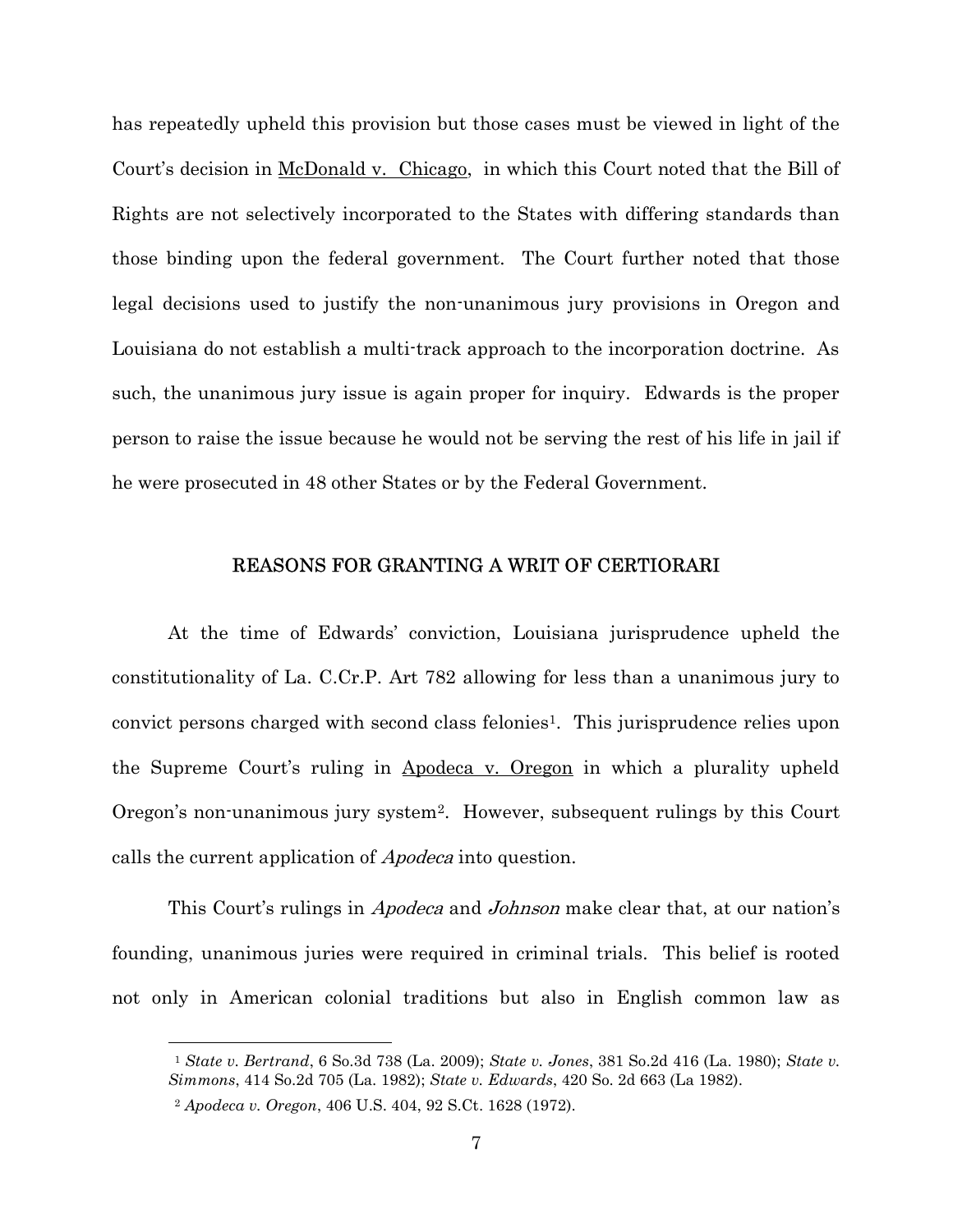has repeatedly upheld this provision but those cases must be viewed in light of the Court's decision in <u>McDonald v. Chicago</u>, in which this Court noted that the Bill of Rights are not selectively incorporated to the States with differing standards than those binding upon the federal government. The Court further noted that those legal decisions used to justify the non-unanimous jury provisions in Oregon and Louisiana do not establish a multi-track approach to the incorporation doctrine. As such, the unanimous jury issue is again proper for inquiry. Edwards is the proper person to raise the issue because he would not be serving the rest of his life in jail if he were prosecuted in 48 other States or by the Federal Government.

## REASONS FOR GRANTING A WRIT OF CERTIORARI

At the time of Edwards' conviction, Louisiana jurisprudence upheld the constitutionality of La. C.Cr.P. Art 782 allowing for less than a unanimous jury to convict persons charged with second class felonies<sup>1</sup>. This jurisprudence relies upon the Supreme Court's ruling in Apodeca v. Oregon in which a plurality upheld Oregon's non-unanimous jury system2. However, subsequent rulings by this Court calls the current application of Apodeca into question.

This Court's rulings in *Apodeca* and *Johnson* make clear that, at our nation's founding, unanimous juries were required in criminal trials. This belief is rooted not only in American colonial traditions but also in English common law as

<sup>1</sup> State v. Bertrand, 6 So.3d 738 (La. 2009); State v. Jones, 381 So.2d 416 (La. 1980); State v. Simmons, 414 So.2d 705 (La. 1982); State v. Edwards, 420 So. 2d 663 (La 1982).

<sup>2</sup> Apodeca v. Oregon, 406 U.S. 404, 92 S.Ct. 1628 (1972).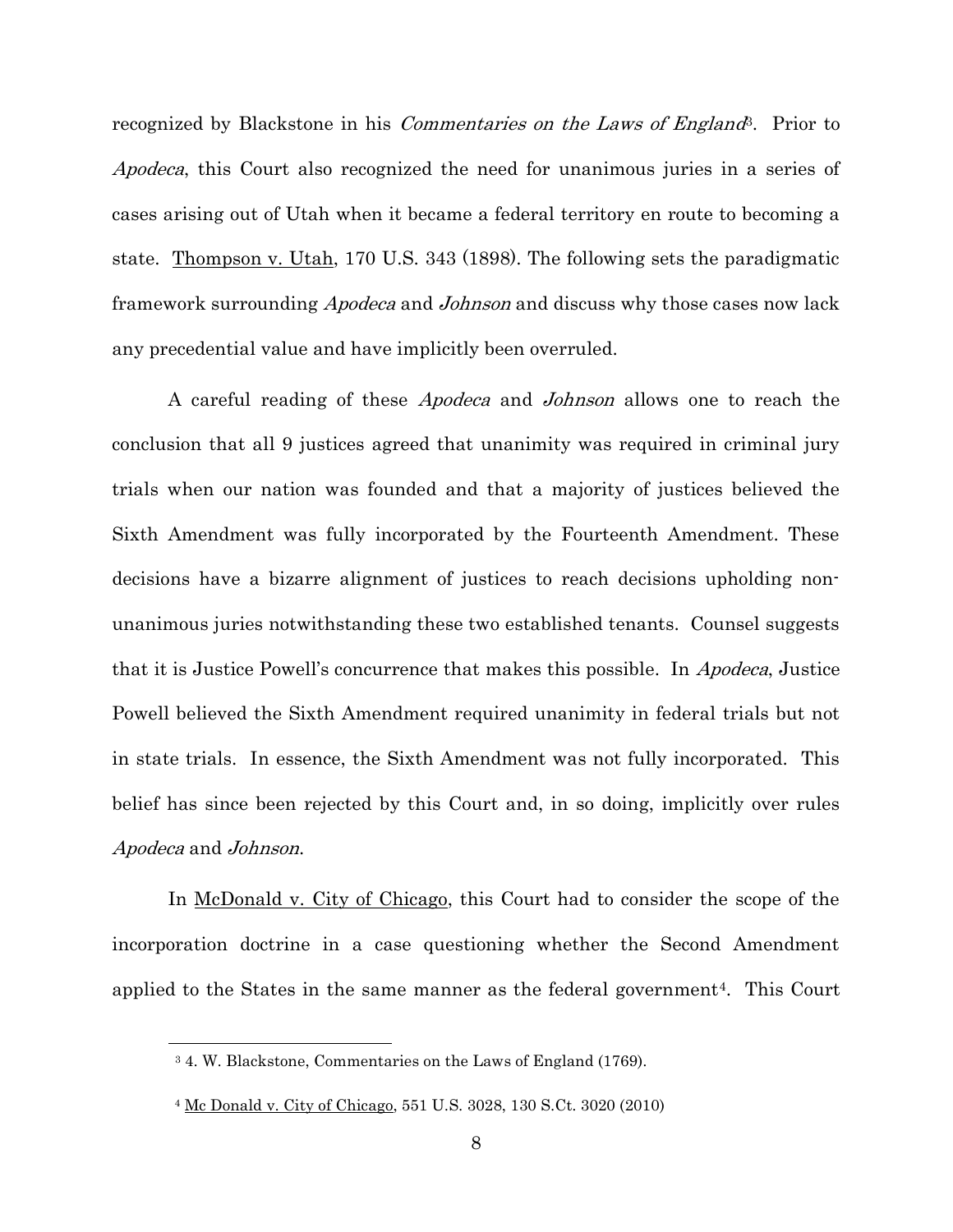recognized by Blackstone in his *Commentaries on the Laws of England*<sup>3</sup>. Prior to Apodeca, this Court also recognized the need for unanimous juries in a series of cases arising out of Utah when it became a federal territory en route to becoming a state. Thompson v. Utah, 170 U.S. 343 (1898). The following sets the paradigmatic framework surrounding Apodeca and Johnson and discuss why those cases now lack any precedential value and have implicitly been overruled.

 A careful reading of these Apodeca and Johnson allows one to reach the conclusion that all 9 justices agreed that unanimity was required in criminal jury trials when our nation was founded and that a majority of justices believed the Sixth Amendment was fully incorporated by the Fourteenth Amendment. These decisions have a bizarre alignment of justices to reach decisions upholding nonunanimous juries notwithstanding these two established tenants. Counsel suggests that it is Justice Powell's concurrence that makes this possible. In Apodeca, Justice Powell believed the Sixth Amendment required unanimity in federal trials but not in state trials. In essence, the Sixth Amendment was not fully incorporated. This belief has since been rejected by this Court and, in so doing, implicitly over rules Apodeca and Johnson.

In McDonald v. City of Chicago, this Court had to consider the scope of the incorporation doctrine in a case questioning whether the Second Amendment applied to the States in the same manner as the federal government4. This Court

<sup>3</sup> 4. W. Blackstone, Commentaries on the Laws of England (1769).

<sup>4</sup> Mc Donald v. City of Chicago, 551 U.S. 3028, 130 S.Ct. 3020 (2010)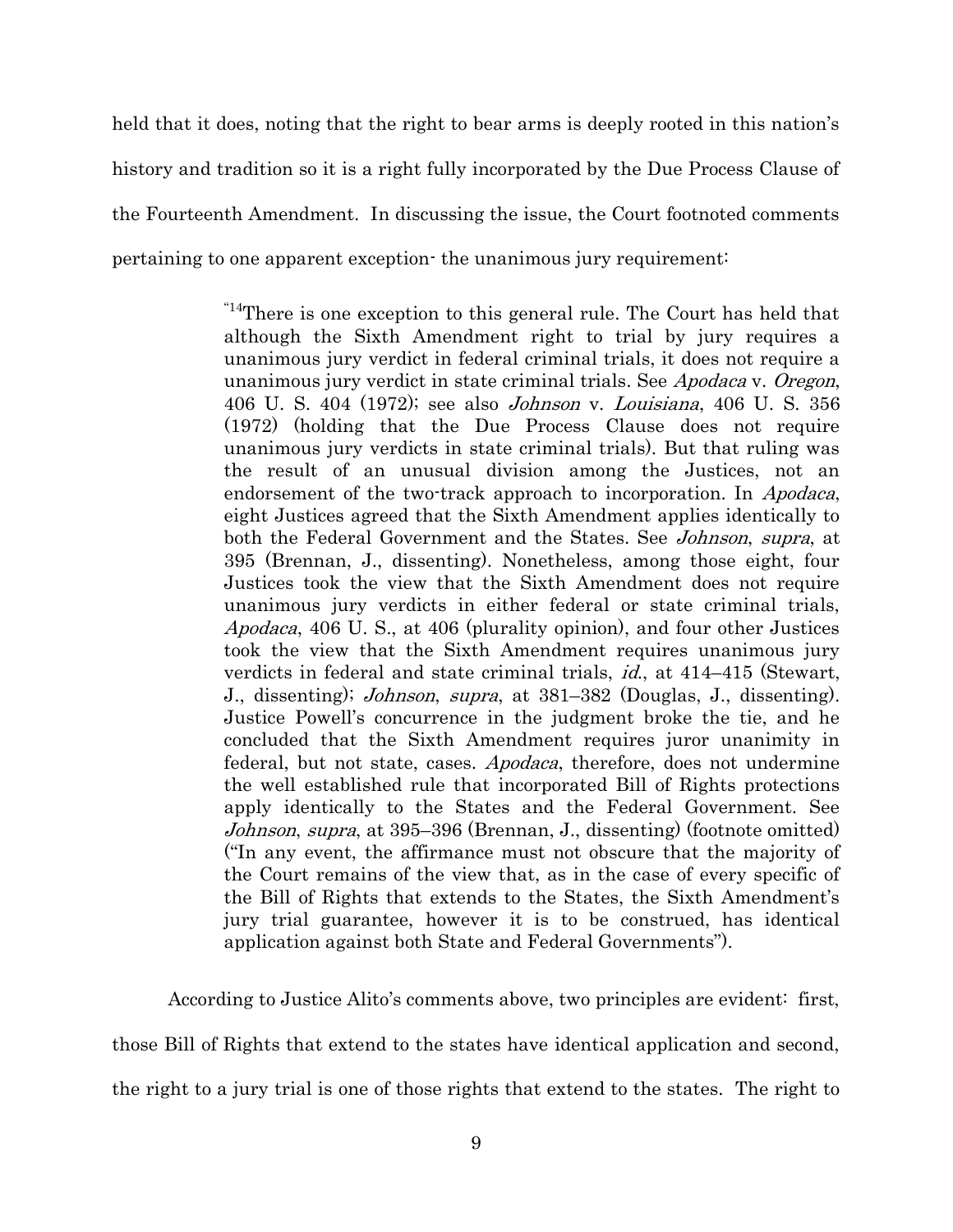held that it does, noting that the right to bear arms is deeply rooted in this nation's history and tradition so it is a right fully incorporated by the Due Process Clause of the Fourteenth Amendment. In discussing the issue, the Court footnoted comments pertaining to one apparent exception- the unanimous jury requirement:

> "14There is one exception to this general rule. The Court has held that although the Sixth Amendment right to trial by jury requires a unanimous jury verdict in federal criminal trials, it does not require a unanimous jury verdict in state criminal trials. See Apodaca v. Oregon, 406 U. S. 404 (1972); see also Johnson v. Louisiana, 406 U. S. 356 (1972) (holding that the Due Process Clause does not require unanimous jury verdicts in state criminal trials). But that ruling was the result of an unusual division among the Justices, not an endorsement of the two-track approach to incorporation. In *Apodaca*, eight Justices agreed that the Sixth Amendment applies identically to both the Federal Government and the States. See *Johnson, supra*, at 395 (Brennan, J., dissenting). Nonetheless, among those eight, four Justices took the view that the Sixth Amendment does not require unanimous jury verdicts in either federal or state criminal trials, Apodaca, 406 U. S., at 406 (plurality opinion), and four other Justices took the view that the Sixth Amendment requires unanimous jury verdicts in federal and state criminal trials, id., at 414–415 (Stewart, J., dissenting); Johnson, supra, at 381–382 (Douglas, J., dissenting). Justice Powell's concurrence in the judgment broke the tie, and he concluded that the Sixth Amendment requires juror unanimity in federal, but not state, cases. Apodaca, therefore, does not undermine the well established rule that incorporated Bill of Rights protections apply identically to the States and the Federal Government. See Johnson, supra, at 395–396 (Brennan, J., dissenting) (footnote omitted) ("In any event, the affirmance must not obscure that the majority of the Court remains of the view that, as in the case of every specific of the Bill of Rights that extends to the States, the Sixth Amendment's jury trial guarantee, however it is to be construed, has identical application against both State and Federal Governments").

According to Justice Alito's comments above, two principles are evident: first,

those Bill of Rights that extend to the states have identical application and second,

the right to a jury trial is one of those rights that extend to the states. The right to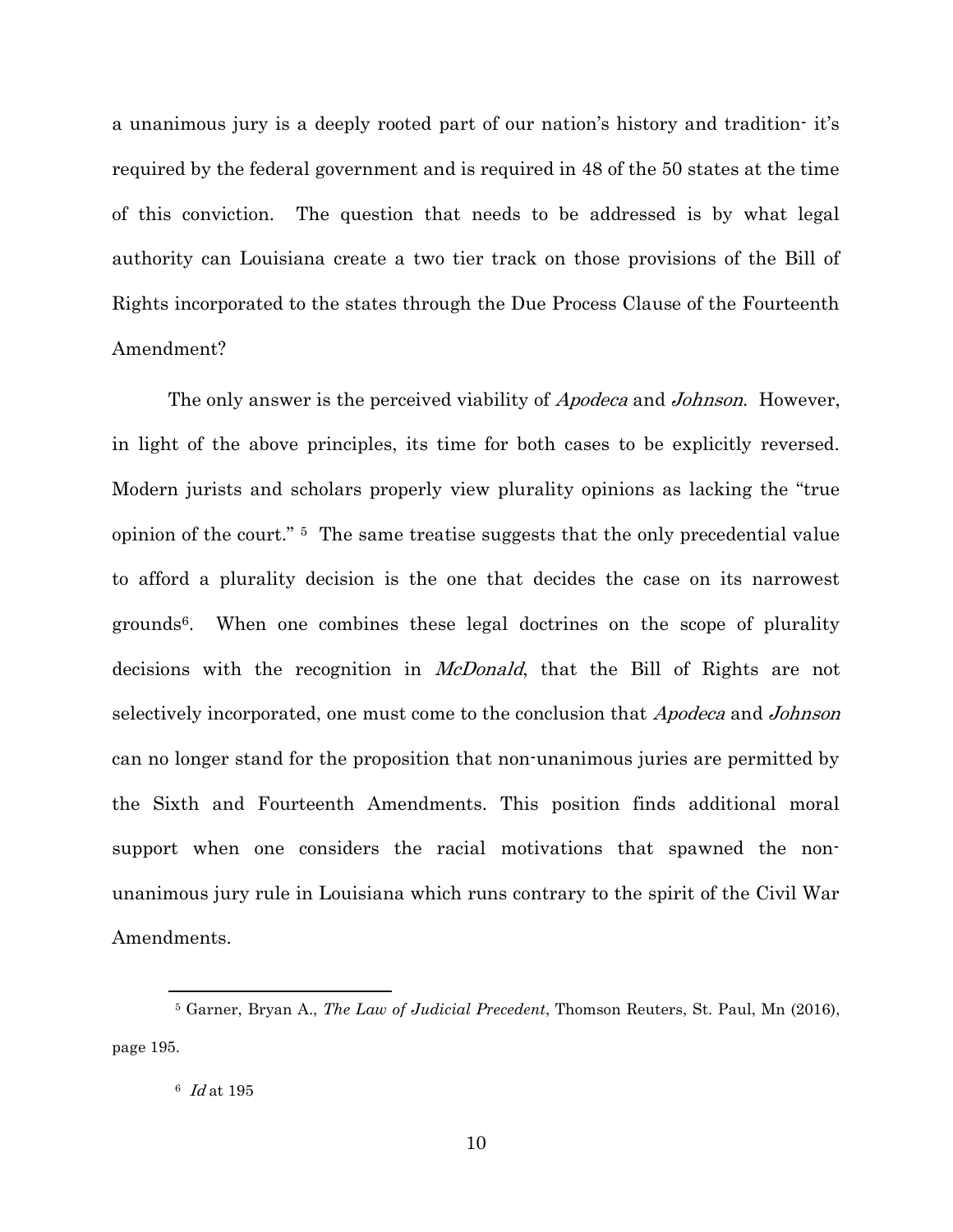a unanimous jury is a deeply rooted part of our nation's history and tradition- it's required by the federal government and is required in 48 of the 50 states at the time of this conviction. The question that needs to be addressed is by what legal authority can Louisiana create a two tier track on those provisions of the Bill of Rights incorporated to the states through the Due Process Clause of the Fourteenth Amendment?

The only answer is the perceived viability of *Apodeca* and *Johnson*. However, in light of the above principles, its time for both cases to be explicitly reversed. Modern jurists and scholars properly view plurality opinions as lacking the "true opinion of the court." 5 The same treatise suggests that the only precedential value to afford a plurality decision is the one that decides the case on its narrowest grounds6. When one combines these legal doctrines on the scope of plurality decisions with the recognition in *McDonald*, that the Bill of Rights are not selectively incorporated, one must come to the conclusion that *Apodeca* and *Johnson* can no longer stand for the proposition that non-unanimous juries are permitted by the Sixth and Fourteenth Amendments. This position finds additional moral support when one considers the racial motivations that spawned the nonunanimous jury rule in Louisiana which runs contrary to the spirit of the Civil War Amendments.

<sup>&</sup>lt;sup>5</sup> Garner, Bryan A., The Law of Judicial Precedent, Thomson Reuters, St. Paul, Mn (2016), page 195.

<sup>6</sup> Id at 195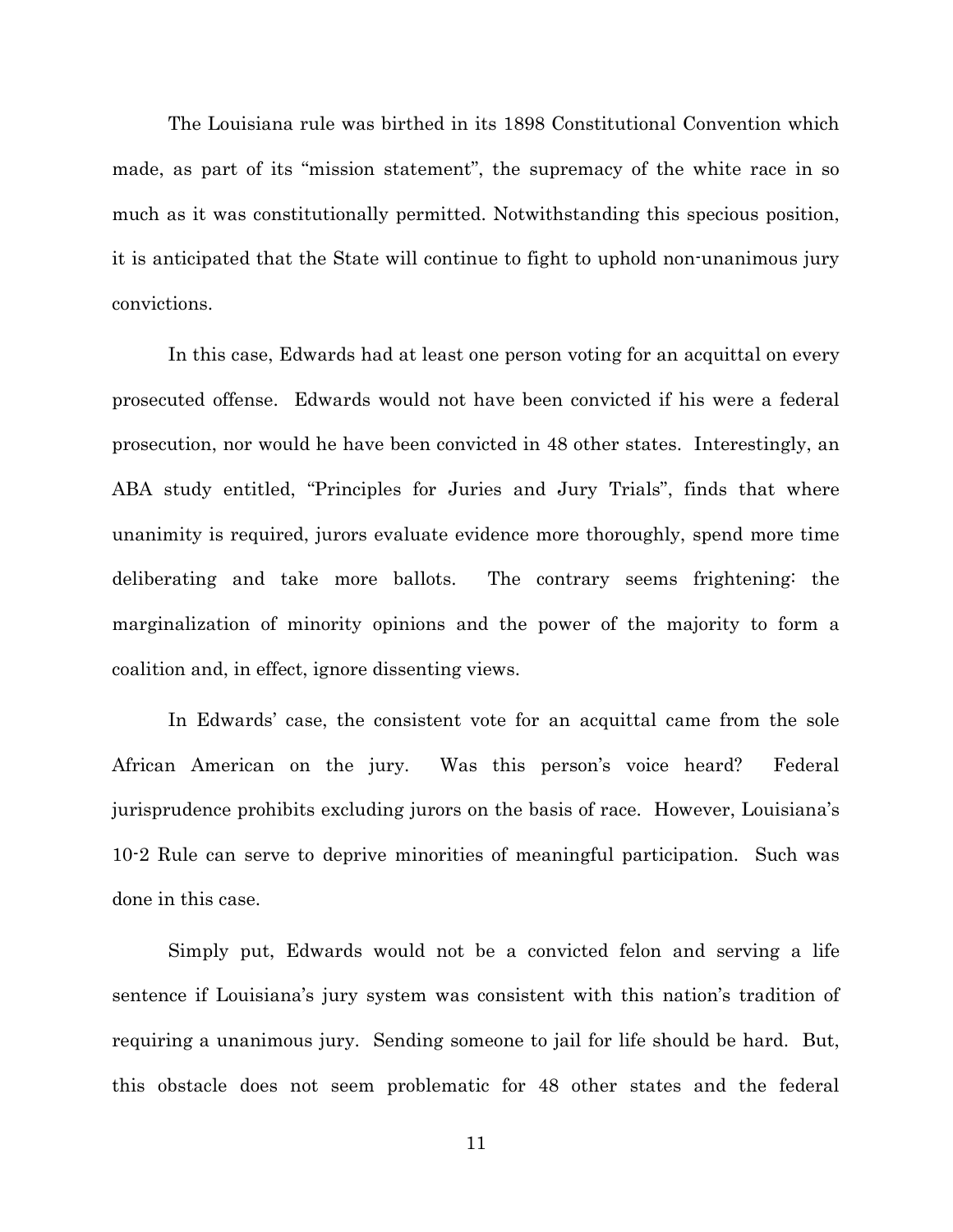The Louisiana rule was birthed in its 1898 Constitutional Convention which made, as part of its "mission statement", the supremacy of the white race in so much as it was constitutionally permitted. Notwithstanding this specious position, it is anticipated that the State will continue to fight to uphold non-unanimous jury convictions.

In this case, Edwards had at least one person voting for an acquittal on every prosecuted offense. Edwards would not have been convicted if his were a federal prosecution, nor would he have been convicted in 48 other states. Interestingly, an ABA study entitled, "Principles for Juries and Jury Trials", finds that where unanimity is required, jurors evaluate evidence more thoroughly, spend more time deliberating and take more ballots. The contrary seems frightening: the marginalization of minority opinions and the power of the majority to form a coalition and, in effect, ignore dissenting views.

In Edwards' case, the consistent vote for an acquittal came from the sole African American on the jury. Was this person's voice heard? Federal jurisprudence prohibits excluding jurors on the basis of race. However, Louisiana's 10-2 Rule can serve to deprive minorities of meaningful participation. Such was done in this case.

Simply put, Edwards would not be a convicted felon and serving a life sentence if Louisiana's jury system was consistent with this nation's tradition of requiring a unanimous jury. Sending someone to jail for life should be hard. But, this obstacle does not seem problematic for 48 other states and the federal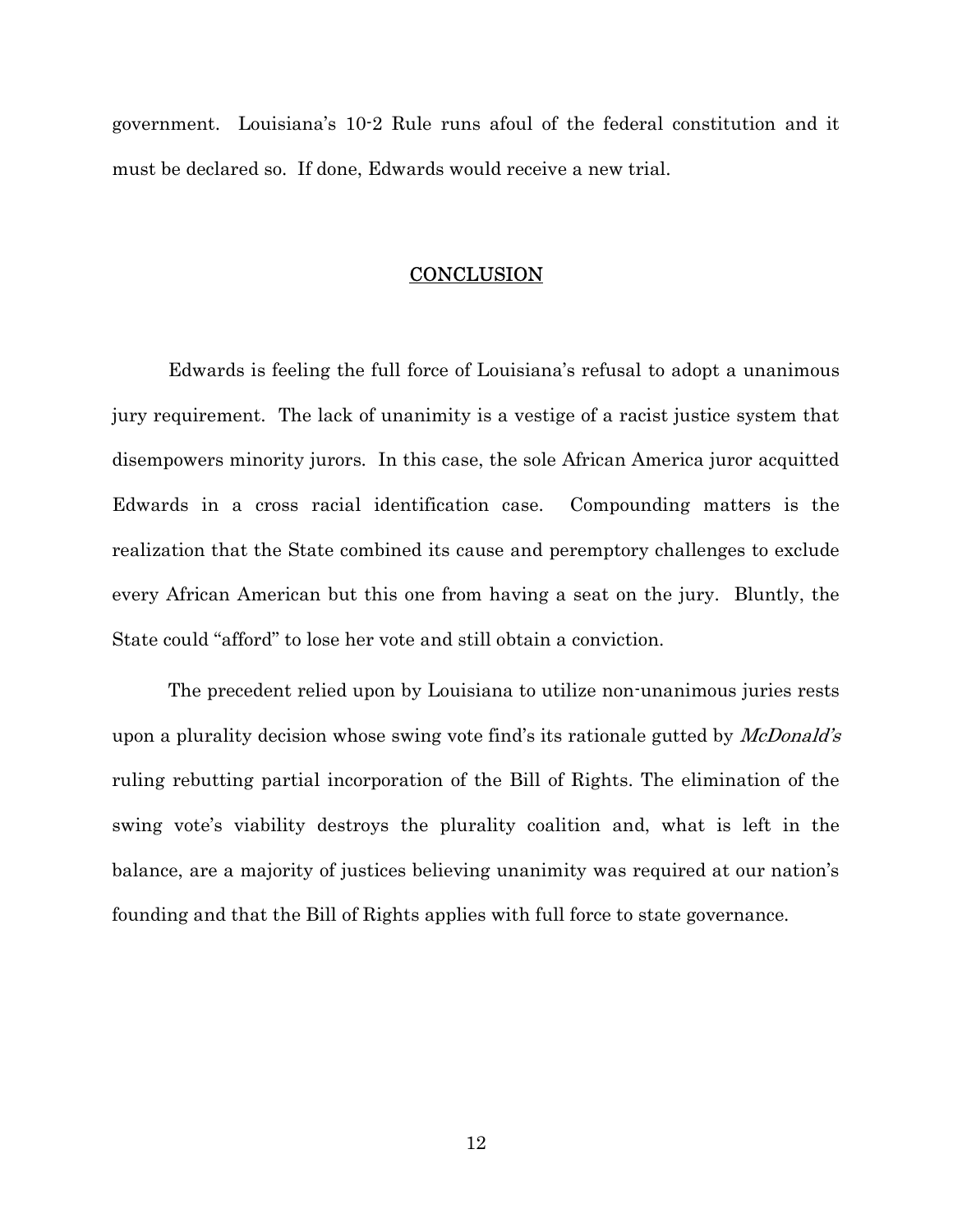government. Louisiana's 10-2 Rule runs afoul of the federal constitution and it must be declared so. If done, Edwards would receive a new trial.

### **CONCLUSION**

Edwards is feeling the full force of Louisiana's refusal to adopt a unanimous jury requirement. The lack of unanimity is a vestige of a racist justice system that disempowers minority jurors. In this case, the sole African America juror acquitted Edwards in a cross racial identification case. Compounding matters is the realization that the State combined its cause and peremptory challenges to exclude every African American but this one from having a seat on the jury. Bluntly, the State could "afford" to lose her vote and still obtain a conviction.

The precedent relied upon by Louisiana to utilize non-unanimous juries rests upon a plurality decision whose swing vote find's its rationale gutted by *McDonald's* ruling rebutting partial incorporation of the Bill of Rights. The elimination of the swing vote's viability destroys the plurality coalition and, what is left in the balance, are a majority of justices believing unanimity was required at our nation's founding and that the Bill of Rights applies with full force to state governance.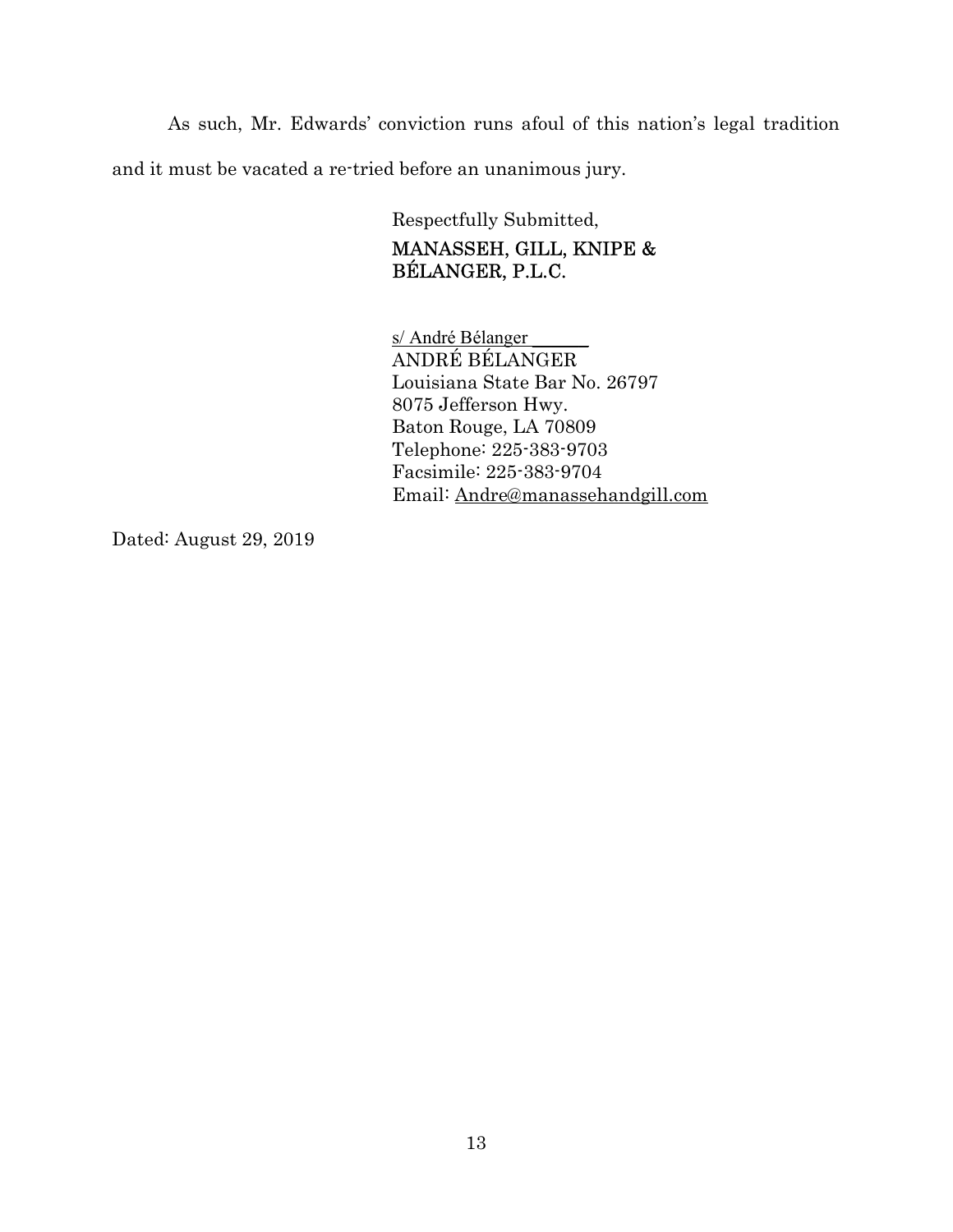As such, Mr. Edwards' conviction runs afoul of this nation's legal tradition and it must be vacated a re-tried before an unanimous jury.

> Respectfully Submitted, MANASSEH, GILL, KNIPE & BÉLANGER, P.L.C.

s/ André Bélanger ANDRÉ BÉLANGER Louisiana State Bar No. 26797 8075 Jefferson Hwy. Baton Rouge, LA 70809 Telephone: 225-383-9703 Facsimile: 225-383-9704 Email: Andre@manassehandgill.com

Dated: August 29, 2019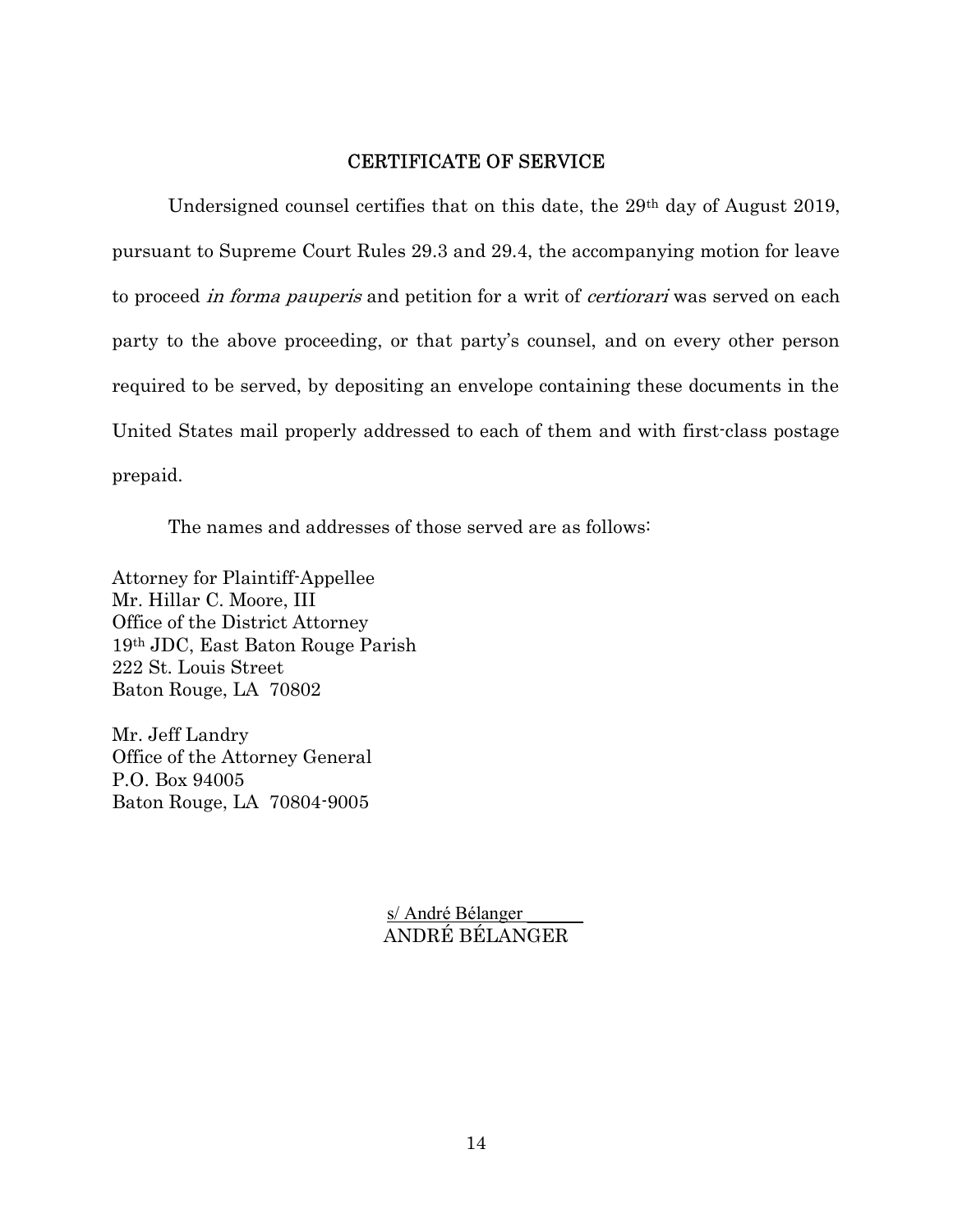## CERTIFICATE OF SERVICE

Undersigned counsel certifies that on this date, the 29th day of August 2019, pursuant to Supreme Court Rules 29.3 and 29.4, the accompanying motion for leave to proceed *in forma pauperis* and petition for a writ of *certiorari* was served on each party to the above proceeding, or that party's counsel, and on every other person required to be served, by depositing an envelope containing these documents in the United States mail properly addressed to each of them and with first-class postage prepaid.

The names and addresses of those served are as follows:

Attorney for Plaintiff-Appellee Mr. Hillar C. Moore, III Office of the District Attorney 19th JDC, East Baton Rouge Parish 222 St. Louis Street Baton Rouge, LA 70802

Mr. Jeff Landry Office of the Attorney General P.O. Box 94005 Baton Rouge, LA 70804-9005

> s/ André Bélanger ANDRÉ BÉLANGER